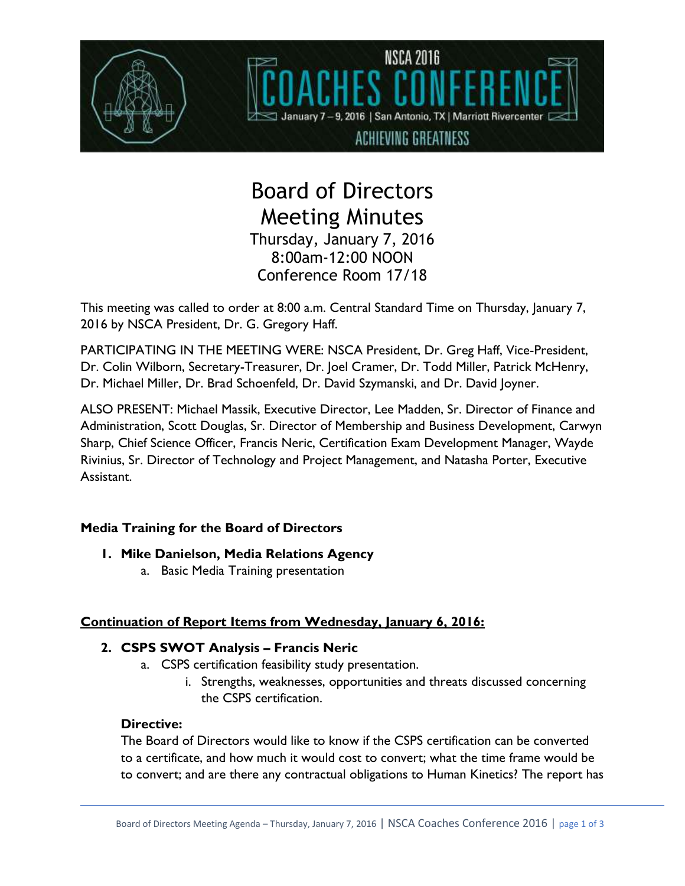

# Board of Directors Meeting Minutes Thursday, January 7, 2016 8:00am-12:00 NOON Conference Room 17/18

This meeting was called to order at 8:00 a.m. Central Standard Time on Thursday, January 7, 2016 by NSCA President, Dr. G. Gregory Haff.

PARTICIPATING IN THE MEETING WERE: NSCA President, Dr. Greg Haff, Vice-President, Dr. Colin Wilborn, Secretary-Treasurer, Dr. Joel Cramer, Dr. Todd Miller, Patrick McHenry, Dr. Michael Miller, Dr. Brad Schoenfeld, Dr. David Szymanski, and Dr. David Joyner.

ALSO PRESENT: Michael Massik, Executive Director, Lee Madden, Sr. Director of Finance and Administration, Scott Douglas, Sr. Director of Membership and Business Development, Carwyn Sharp, Chief Science Officer, Francis Neric, Certification Exam Development Manager, Wayde Rivinius, Sr. Director of Technology and Project Management, and Natasha Porter, Executive Assistant.

## **Media Training for the Board of Directors**

- **1. Mike Danielson, Media Relations Agency**
	- a. Basic Media Training presentation

## **Continuation of Report Items from Wednesday, January 6, 2016:**

## **2. CSPS SWOT Analysis – Francis Neric**

- a. CSPS certification feasibility study presentation.
	- i. Strengths, weaknesses, opportunities and threats discussed concerning the CSPS certification.

## **Directive:**

The Board of Directors would like to know if the CSPS certification can be converted to a certificate, and how much it would cost to convert; what the time frame would be to convert; and are there any contractual obligations to Human Kinetics? The report has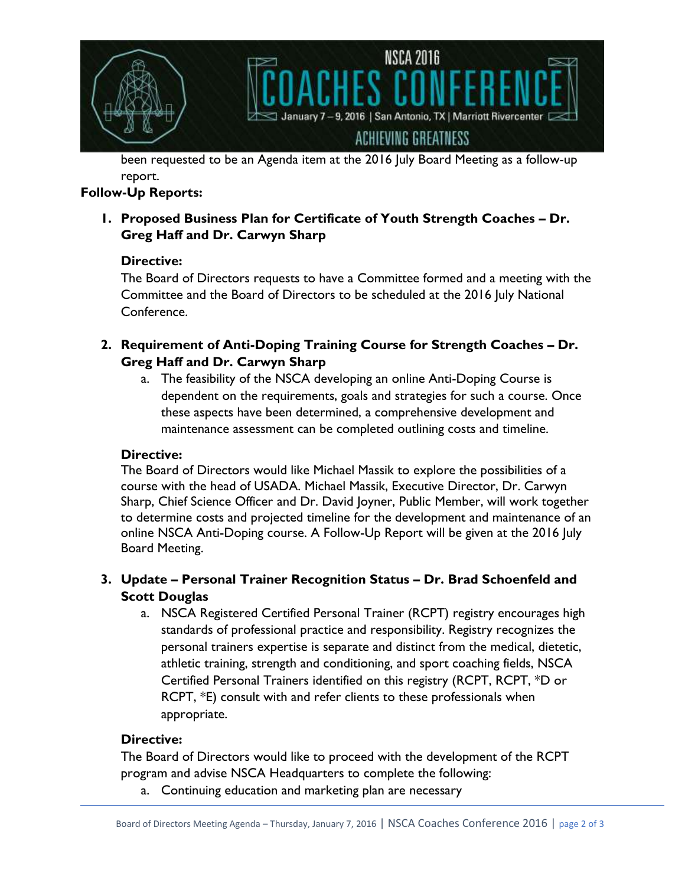

been requested to be an Agenda item at the 2016 July Board Meeting as a follow-up report.

## **Follow-Up Reports:**

**1. Proposed Business Plan for Certificate of Youth Strength Coaches – Dr. Greg Haff and Dr. Carwyn Sharp**

## **Directive:**

The Board of Directors requests to have a Committee formed and a meeting with the Committee and the Board of Directors to be scheduled at the 2016 July National Conference.

- **2. Requirement of Anti-Doping Training Course for Strength Coaches – Dr. Greg Haff and Dr. Carwyn Sharp**
	- a. The feasibility of the NSCA developing an online Anti-Doping Course is dependent on the requirements, goals and strategies for such a course. Once these aspects have been determined, a comprehensive development and maintenance assessment can be completed outlining costs and timeline.

## **Directive:**

The Board of Directors would like Michael Massik to explore the possibilities of a course with the head of USADA. Michael Massik, Executive Director, Dr. Carwyn Sharp, Chief Science Officer and Dr. David Joyner, Public Member, will work together to determine costs and projected timeline for the development and maintenance of an online NSCA Anti-Doping course. A Follow-Up Report will be given at the 2016 July Board Meeting.

## **3. Update – Personal Trainer Recognition Status – Dr. Brad Schoenfeld and Scott Douglas**

a. NSCA Registered Certified Personal Trainer (RCPT) registry encourages high standards of professional practice and responsibility. Registry recognizes the personal trainers expertise is separate and distinct from the medical, dietetic, athletic training, strength and conditioning, and sport coaching fields, NSCA Certified Personal Trainers identified on this registry (RCPT, RCPT, \*D or RCPT, \*E) consult with and refer clients to these professionals when appropriate.

## **Directive:**

The Board of Directors would like to proceed with the development of the RCPT program and advise NSCA Headquarters to complete the following:

a. Continuing education and marketing plan are necessary